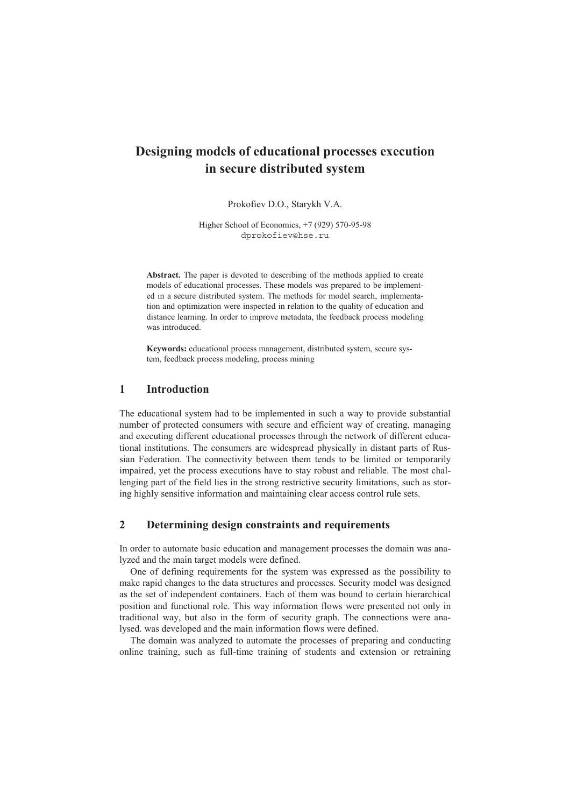# **Designing models of educational processes execution in secure distributed system**

Prokofiev D.O., Starykh V.A.

Higher School of Economics, +7 (929) 570-95-98 dprokofiev@hse.ru

Abstract. The paper is devoted to describing of the methods applied to create models of educational processes. These models was prepared to be implemented in a secure distributed system. The methods for model search, implementation and optimization were inspected in relation to the quality of education and distance learning. In order to improve metadata, the feedback process modeling was introduced.

**Keywords:** educational process management, distributed system, secure system, feedback process modeling, process mining

### **1 Introduction**

The educational system had to be implemented in such a way to provide substantial number of protected consumers with secure and efficient way of creating, managing and executing different educational processes through the network of different educational institutions. The consumers are widespread physically in distant parts of Russian Federation. The connectivity between them tends to be limited or temporarily impaired, yet the process executions have to stay robust and reliable. The most challenging part of the field lies in the strong restrictive security limitations, such as storing highly sensitive information and maintaining clear access control rule sets.

## **2 Determining design constraints and requirements**

In order to automate basic education and management processes the domain was analyzed and the main target models were defined.

One of defining requirements for the system was expressed as the possibility to make rapid changes to the data structures and processes. Security model was designed as the set of independent containers. Each of them was bound to certain hierarchical position and functional role. This way information flows were presented not only in traditional way, but also in the form of security graph. The connections were analysed. was developed and the main information flows were defined.

The domain was analyzed to automate the processes of preparing and conducting online training, such as full-time training of students and extension or retraining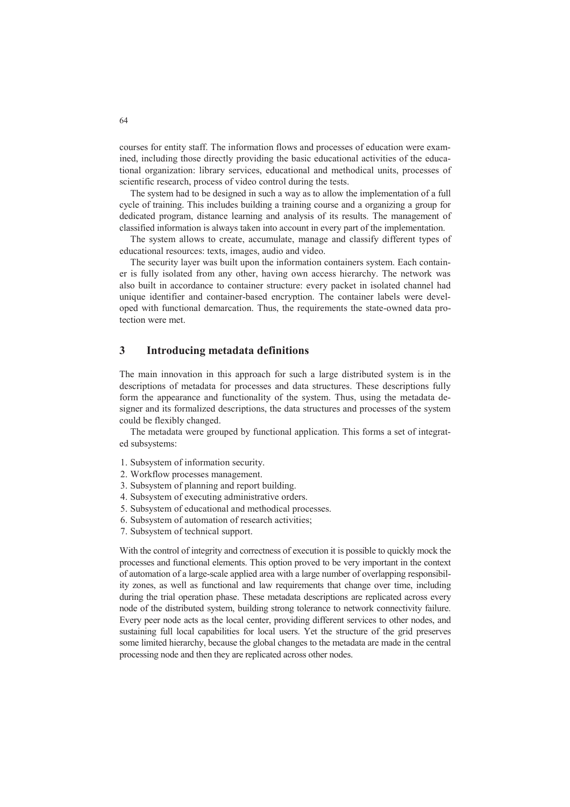courses for entity staff. The information flows and processes of education were examined, including those directly providing the basic educational activities of the educational organization: library services, educational and methodical units, processes of scientific research, process of video control during the tests.

The system had to be designed in such a way as to allow the implementation of a full cycle of training. This includes building a training course and a organizing a group for dedicated program, distance learning and analysis of its results. The management of classified information is always taken into account in every part of the implementation.

The system allows to create, accumulate, manage and classify different types of educational resources: texts, images, audio and video.

The security layer was built upon the information containers system. Each container is fully isolated from any other, having own access hierarchy. The network was also built in accordance to container structure: every packet in isolated channel had unique identifier and container-based encryption. The container labels were developed with functional demarcation. Thus, the requirements the state-owned data protection were met.

### **3 Introducing metadata definitions**

The main innovation in this approach for such a large distributed system is in the descriptions of metadata for processes and data structures. These descriptions fully form the appearance and functionality of the system. Thus, using the metadata designer and its formalized descriptions, the data structures and processes of the system could be flexibly changed.

The metadata were grouped by functional application. This forms a set of integrated subsystems:

- 1. Subsystem of information security.
- 2. Workflow processes management.
- 3. Subsystem of planning and report building.
- 4. Subsystem of executing administrative orders.
- 5. Subsystem of educational and methodical processes.
- 6. Subsystem of automation of research activities;
- 7. Subsystem of technical support.

With the control of integrity and correctness of execution it is possible to quickly mock the processes and functional elements. This option proved to be very important in the context of automation of a large-scale applied area with a large number of overlapping responsibility zones, as well as functional and law requirements that change over time, including during the trial operation phase. These metadata descriptions are replicated across every node of the distributed system, building strong tolerance to network connectivity failure. Every peer node acts as the local center, providing different services to other nodes, and sustaining full local capabilities for local users. Yet the structure of the grid preserves some limited hierarchy, because the global changes to the metadata are made in the central processing node and then they are replicated across other nodes.